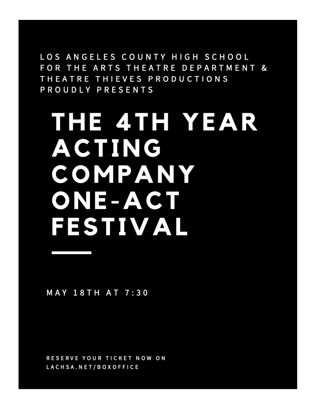LOS ANGELES COUNTY HIGH SCHOOL FOR THE ARTS THEATRE DEPARTMENT & THEATRE THIEVES PRODUCTIONS PROUDLY PRESENTS

# THE 4TH YEAR **ACTING** COMPANY ONE-ACT FESTIVAL

**MAY 18TH AT 7:30** 

RESERVE YOUR TICKET NOW ON LACHSA.NET/BOXOFFICE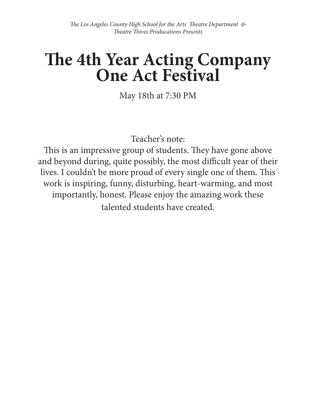# **The 4th Year Acting Company One Act Festival**

May 18th at 7:30 PM

Teacher's note:

This is an impressive group of students. They have gone above and beyond during, quite possibly, the most difficult year of their lives. I couldn't be more proud of every single one of them. This work is inspiring, funny, disturbing, heart-warming, and most importantly, honest. Please enjoy the amazing work these talented students have created.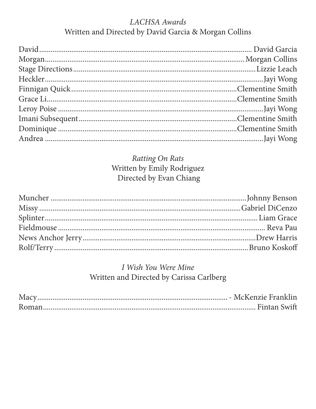# LACHSA Awards Written and Directed by David Garcia & Morgan Collins

# Ratting On Rats Written by Emily Rodriguez Directed by Evan Chiang

# I Wish You Were Mine Written and Directed by Carissa Carlberg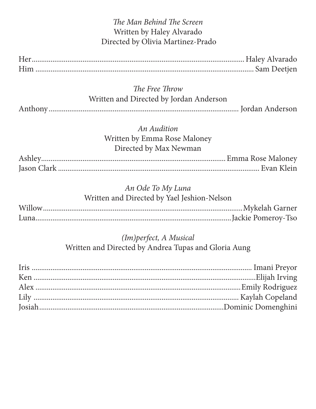| The Man Behind The Screen                   |                 |
|---------------------------------------------|-----------------|
| Written by Haley Alvarado                   |                 |
| Directed by Olivia Martinez-Prado           |                 |
|                                             |                 |
|                                             |                 |
| The Free Throw                              |                 |
| Written and Directed by Jordan Anderson     |                 |
|                                             |                 |
| <b>An Audition</b>                          |                 |
| Written by Emma Rose Maloney                |                 |
| Directed by Max Newman                      |                 |
|                                             |                 |
|                                             |                 |
| An Ode To My Luna                           |                 |
| Written and Directed by Yael Jeshion-Nelson |                 |
|                                             | Mykelah Garner. |
|                                             |                 |
| (Im) perfect, A Musical                     |                 |

Written and Directed by Andrea Tupas and Gloria Aung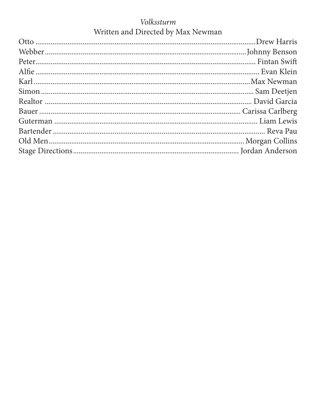# Volkssturm Written and Directed by Max Newman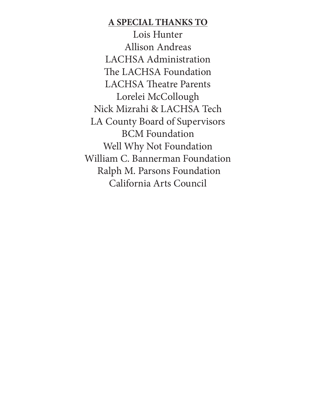### **A SPECIAL THANKS TO**

Lois Hunter Allison Andreas LACHSA Administration The LACHSA Foundation LACHSA Theatre Parents Lorelei McCollough Nick Mizrahi & LACHSA Tech LA County Board of Supervisors BCM Foundation Well Why Not Foundation William C. Bannerman Foundation Ralph M. Parsons Foundation California Arts Council